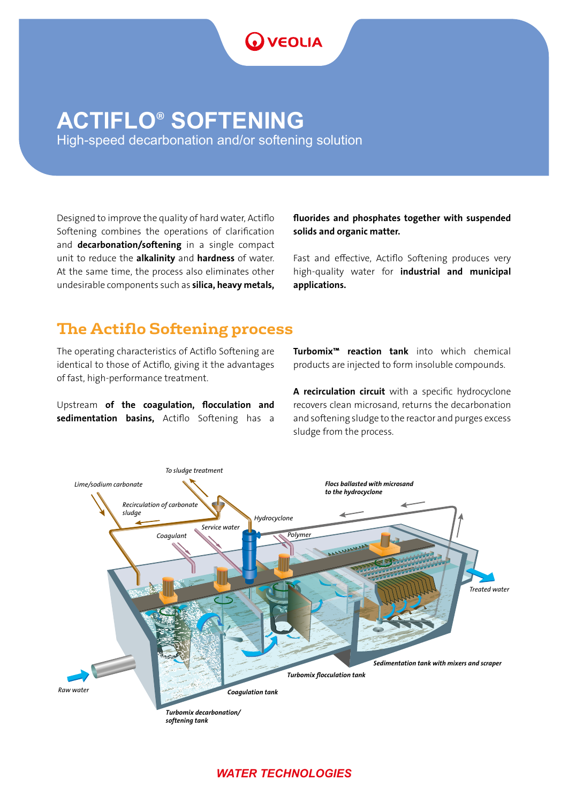# **ACTIFLO**®  **SOFTENING**

High-speed decarbonation and/or softening solution

**OVEOLIA** 

Designed to improve the quality of hard water, Actiflo Softening combines the operations of clarification and decarbonation/softening in a single compact unit to reduce the alkalinity and hardness of water. At the same time, the process also eliminates other undesirable components such as silica, heavy metals,

fluorides and phosphates together with suspended solids and organic matter.

Fast and effective, Actiflo Softening produces very high-quality water for industrial and municipal applications.

# **The Actiflo Softening process**

The operating characteristics of Actiflo Softening are identical to those of Actiflo, giving it the advantages of fast, high-performance treatment.

Upstream of the coagulation, flocculation and sedimentation basins, Actiflo Softening has a Turbomix™ reaction tank into which chemical products are injected to form insoluble compounds.

A recirculation circuit with a specific hydrocyclone recovers clean microsand, returns the decarbonation and softening sludge to the reactor and purges excess sludge from the process.



### *WATER TECHNOLOGIES*